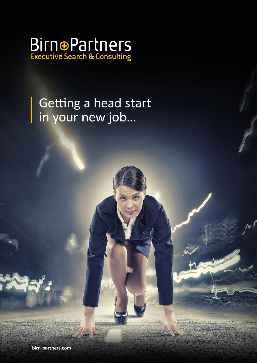

## Getting a head start in your new job...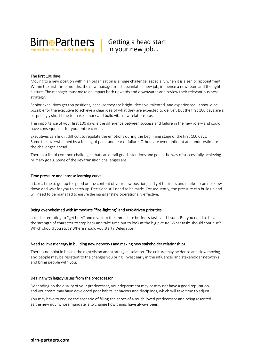

### The first 100 days

Moving to a new position within an organization is a huge challenge, especially when it is a senior appointment. Within the first three months, the new manager must assimilate a new job, influence a new team and the right culture. The manager must make an impact both upwards and downwards and review their relevant business

strategy.<br>Senior executives get top positions, because they are bright, decisive, talented, and experienced. It should be possible for the executive to achieve a clear idea of what they are expected to deliver. But the first 100 days are a surprisingly short time to make a mark and build vital new relationships.

The importance of your first 100 days is the difference between success and failure in the new role – and could have consequences for your entire career.

Executives can find it difficult to regulate the emotions during the beginning stage of the first 100 days. Some feel overwhelmed by a feeling of panic and fear of failure. Others are overconfident and underestimate the challenges ahead.

There is a list of common challenges that can derail good intentions and get in the way of successfully achieving primary goals. Some of the key transition challenges are:

#### Time pressure and intense learning curve

It takes time to get up to speed on the content of your new position, and yet business and markets can notslow down and wait for you to catch up. Decisions still need to be made. Consequently, the pressure can build up and will need to be managed to ensure the manager stays operationally effective.

## Being overwhelmed with immediate "fire-fighting" and task-driven priorities

It can be tempting to "get busy" and dive into the immediate business tasks and issues. But you need to have the strength of character to step back and take time out to look at the big picture: What tasks should continue? Which should you stop? Where should you start? Delegation?

Need to invest energy in building new networks and making new stakeholder relationships<br>There is no point in having the right vision and strategy in isolation. The culture may be dense and slow moving and people may be resistant to the changes you bring. Invest early in the influencer and stakeholder networks and bring people with you.

#### Dealing with legacy issues from the predecessor

Depending on the quality of your predecessor, your department may or may not have a good reputation, and yourteam may have developed poor habits, behaviors and disciplines, which will take time to adjust.

You may have to endure the scenario of filling the shoes of a much-loved predecessor and being resented as the new guy, whose mandate is to change howthings have always been.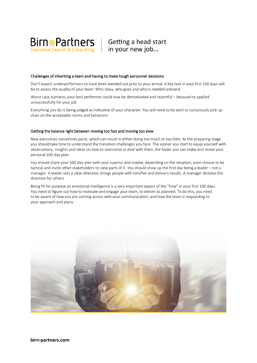

#### Challenges of inheriting a team and having to make tough personnel decisions

Don't expect underperformers to have been weeded out prior to your arrival. A key task in your first 100 days will be to assess the quality of your team: Who stays, who goes and who is needed onboard.

Worst case scenario, your best performer could now be demotivated and resentful – because he applied unsuccessfully for your job.

Everything you do is being judged as indicative of your character. You will need to be alert to consciously pick up clues on the acceptable norms and behaviors.

#### Getting the balance right between moving too fast and moving too slow

New executives sometimes panic, which can result in either doing too much or too little. At the preparing stage you should take time to understand the transition challenges you face. The sooner you start to equip yourself with observations, insights and ideas on howto overcome or deal with them, the faster you can make and revise your personal 100-day plan.

You should share your 100-day plan with your superior and maybe, depending on the situation, even choose to be tactical and invite other stakeholders to view parts of it. You should show up the first day being a leader – not a manager. A leader sets a clear direction, brings people with him/her and delivers results. A manager dictates the direction for others.

Being fit for purpose on emotional intelligence is a very important aspect of the "how" in your first 100 days. You need to figure out how to motivate and engage your team, to deliver as planned. To do this, you need to be aware of howyou are coming across with your communication, and how the team is responding to your approach and plans.

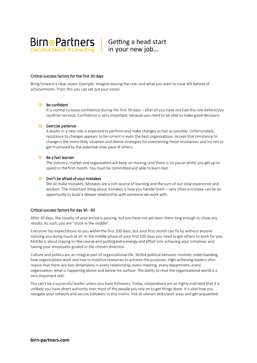

### Critical success factors for the first 30 days

Bring forward a clear vision. Example: Imagine leaving the role, and what you want to have left behind of achievements. From this you can set out your vision.

### $\oplus$  Be confident

It is normal to loose confidence during the first 30 days – after all you have not had this role before/you could be nervous. Confidence is very important, because you need to be able to make good decisions.

#### $\bigoplus$  Exercise patience

A leader in a new role is expected to perform and make changes as fast as possible. Unfortunately, resistance to changes appears to be current in even the best organizations. Accept that resistance to change is the more likely situation and devise strategiesfor overcoming these resistances and try not to get frustrated by the potential slow pace of others.

## $\bigoplus$  Be a fast learner

The industry, market and organizationwill keep on moving, and there is no pause whilst you get up to speed in the first month. You must be committed and able to learn fast.

#### $\bigoplus$  Don't be afraid of your mistakes

We all make mistakes. Mistakes are a rich source of learning and the sum of our total experience and wisdom. The important thing about mistakes is howyou handle them – very often a mistake can be an opportunity to build a deeper relationship with someone we work with.

#### Critical success factors for day 30 - 60

After 30 days, the novelty of your arrival is passing, but you have not yet been there long enough to show any results. As such, you are "stuck in the middle".

Everyone has expectations to you within the first 100 days, but your first month can fly by without anyone noticing you doing much at all. In the middle phase of your first 100 days you need to get others to work for you. Middle is about staying on the course and putting extra energy and effort into achieving your initiatives and having your employees guided in the chosen direction.

Culture and politics are an integral part of organizational life. Skilled political behavior involves understanding how organizations work and how to mobilize resources to achieve the purposes. High-achieving leaders often realize that there are two dimensions in every relationship, every meeting, every department, every organization; what is happening above and below the surface. The ability to read the organizational world is a very important skill.

You can't be a successful leader unless you have followers. Today, corporations are so highly matrixed that it is unlikely you have direct authority over most of the people you rely on to get things done. It is vital howyou navigate your network and secure followers in this matrix. Visit all relevant desks/work areas and get acquainted.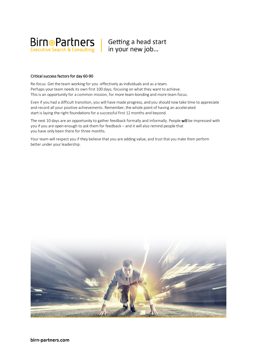

### Critical success factors for day 60-90

Re-focus. Get the team working for you -effectively as individuals and as a team. Perhaps your team needsits own first 100 days, focusing on what they want to achieve. This is an opportunity for a common mission, for more team-bonding and more team focus.

Even if you had a difficult transition, you will have made progress, and you should nowtake time to appreciate and record all your positive achievements. Remember, the whole point of having an accelerated start is laying the right foundations for a successful first 12 months and beyond.

The next 10 days are an opportunity to gather feedback formally and informally. People will be impressed with you if you are open enough to ask them for feedback – and it will also remind people that you have only been there for three months.

Your team will respect you if they believe that you are adding value, and trust that you make them perform better under your leadership.



birn-partners.com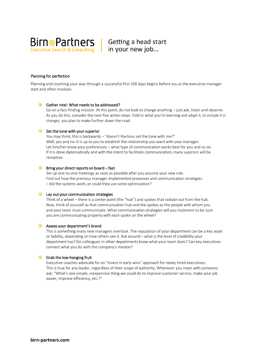

### Planning for perfection

Planning and coaching your way through a successful first 100 days begins before you as the executive manager start and often involves:

#### $\bigoplus$  Gather intel: What needs to be addressed?

Go on a fact-finding mission. At this point, do not look to change anything – just ask, listen and observe. As you do this, consider the next five action steps. Fold in what you're learning and adapt it, to include it in changes, you plan to make further down the road.

#### $\bigoplus$  Set the tone with your superior

You may think, this is backwards – "doesn't the boss set the tone with me?" Well, yes and no. It is up to you to establish the relationship you want with your manager. Let him/her knowyour preferences – what type of communication works best for you and so on. If it is done diplomatically and with the intent to facilitate communication, many superiors will be receptive.

### $\bigoplus$  Bring your direct reports on board – fast

Set up one-to-one meetings as soon as possible after you assume your new role. Find out how the previous manager implemented processes and communication strategies – did the systems work, or could they use some optimization?

#### $\Theta$  Lay out your communication strategies

Think of a wheel – there is a center point (the "hub") and spokes that radiate out from the hub. Now, think of yourself as that communication hub and the spokes as the people with whom you and your team must communicate. What communication strategies will you implement to be sure you are communicating properly with each spoke on the wheel?

#### **Assess your department's brand**

This is something many new managers overlook. The reputation of your department can be a key asset or liability, depending on how others see it. Ask around – what is the level of credibility your department has? Do colleagues in other departments know what your team does? Can key executives connect what you do with the company's mission?

## $\bigoplus$  Grab the low-hanging fruit

Executive coaches advocate for an "invest in early wins" approach for newly hired executives. This is true for any leader, regardless of their scope of authority. Whenever you meet with someone, ask: "What's one simple, inexpensive thing we could do to improve customer service, make yourjob easier, improve efficiency, etc.?"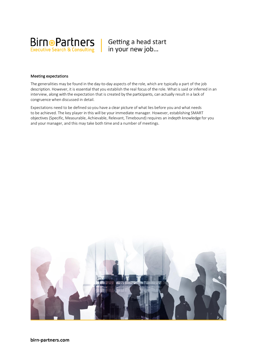

### Meeting expectations

The generalities may be found in the day-to-day aspects of the role, which are typically a part of the job description. However, it is essential that you establish the real focus of the role. What is said or inferred in an interview, along with the expectation that is created by the participants, can actually result in a lack of congruence when discussed in detail.

Expectations need to be defined so you have a clear picture of what lies before you and what needs to be achieved. The key player in this will be your immediate manager. However, establishing SMART objectives (Specific, Measurable, Achievable, Relevant, Timebound) requires an indepth knowledge for you and your manager, and this may take both time and a number of meetings.

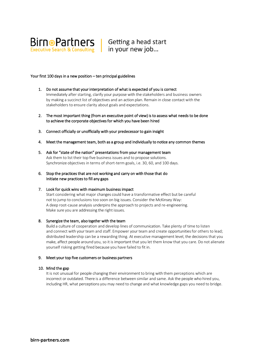

#### Your first 100 days in a new position – ten principal guidelines

- 1. Do not assume that your interpretation of what is expected of you is correct Immediately after starting, clarify your purposewith the stakeholders and business owners by making a succinct list of objectives and an action plan. Remain in close contact with the stakeholders to ensure clarity about goals and expectations.
- 2. The most important thing (from an executive point of view) is to assess what needs to be done to achieve the corporate objectives for which you have been hired
- 3. Connect officially or unofficially with your predecessor to gain insight
- 4. Meet the management team, both as a group and individually to notice any common themes
- 5. Ask for "state of the nation" presentations from your management team Ask them to list their top five business issues and to propose solutions. Synchronize objectives in terms of short-term goals, i.e. 30, 60, and 100 days.
- 6. Stop the practices that are not working and carry on with those that do Initiate new practices to fill any gaps
- 7. Look for quick wins with maximum business impact

Start considering what major changes could have a transformative effect but be careful not to jump to conclusions too soon on big issues. Consider the McKinsey Way: A deep root-cause analysis underpins the approach to projects and re-engineering. Make sure you are addressing the right issues.

#### 8. Synergize the team, also together with the team

Build a culture of cooperation and develop lines of communication. Take plenty of time to listen and connect with your team and staff. Empower your team and create opportunities for others to lead; distributed leadership can be a rewarding thing. At executive management level, the decisions that you make, affect people around you, so it is important that you let them know that you care. Do not alienate yourself risking getting fired because you have failed to fit in.

# 9. Meet your top five customers or business partners<br>10. Mind the gap

It is not unusual for people changing their environmentto bring with them perceptions which are incorrect or outdated. There is a difference between similar and same. Ask the people who hired you, including HR, what perceptions you may need to change and what knowledge gaps you need to bridge.